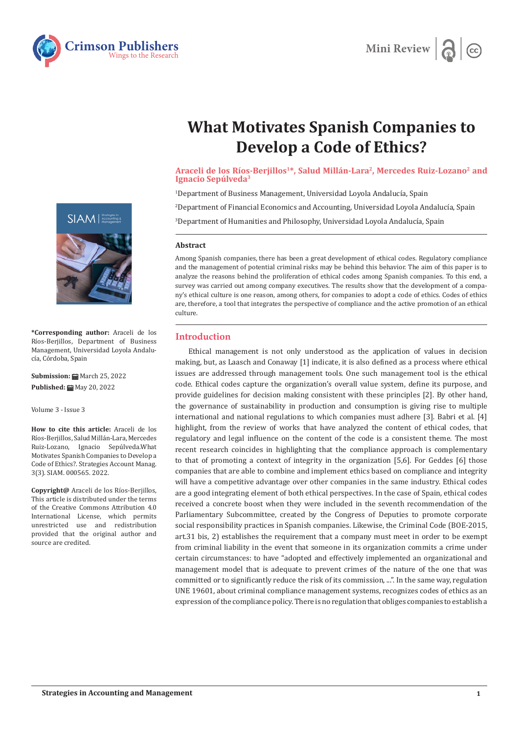



# **What Motivates Spanish Companies to Develop a Code of Ethics?**

## Araceli de los Ríos-Berjillos<sup>1\*</sup>, Salud Millán-Lara<sup>2</sup>, Mercedes Ruiz-Lozano<sup>2</sup> and **Ignacio Sepúlveda3**

 $^{\rm 1}$ Department of Business Management, Universidad Loyola Andalucía, Spain

2 Department of Financial Economics and Accounting, Universidad Loyola Andalucía, Spain

3 Department of Humanities and Philosophy, Universidad Loyola Andalucía, Spain

### **Abstract**

Among Spanish companies, there has been a great development of ethical codes. Regulatory compliance and the management of potential criminal risks may be behind this behavior. The aim of this paper is to analyze the reasons behind the proliferation of ethical codes among Spanish companies. To this end, a survey was carried out among company executives. The results show that the development of a company's ethical culture is one reason, among others, for companies to adopt a code of ethics. Codes of ethics are, therefore, a tool that integrates the perspective of compliance and the active promotion of an ethical culture.

## **Introduction**

Ethical management is not only understood as the application of values in decision making, but, as Laasch and Conaway [1] indicate, it is also defined as a process where ethical issues are addressed through management tools. One such management tool is the ethical code. Ethical codes capture the organization's overall value system, define its purpose, and provide guidelines for decision making consistent with these principles [2]. By other hand, the governance of sustainability in production and consumption is giving rise to multiple international and national regulations to which companies must adhere [3]. Babri et al. [4] highlight, from the review of works that have analyzed the content of ethical codes, that regulatory and legal influence on the content of the code is a consistent theme. The most recent research coincides in highlighting that the compliance approach is complementary to that of promoting a context of integrity in the organization [5,6]. For Geddes [6] those companies that are able to combine and implement ethics based on compliance and integrity will have a competitive advantage over other companies in the same industry. Ethical codes are a good integrating element of both ethical perspectives. In the case of Spain, ethical codes received a concrete boost when they were included in the seventh recommendation of the Parliamentary Subcommittee, created by the Congress of Deputies to promote corporate social responsibility practices in Spanish companies. Likewise, the Criminal Code (BOE-2015, art.31 bis, 2) establishes the requirement that a company must meet in order to be exempt from criminal liability in the event that someone in its organization commits a crime under certain circumstances: to have "adopted and effectively implemented an organizational and management model that is adequate to prevent crimes of the nature of the one that was committed or to significantly reduce the risk of its commission, ...". In the same way, regulation UNE 19601, about criminal compliance management systems, recognizes codes of ethics as an expression of the compliance policy. There is no regulation that obliges companies to establish a



**\*Corresponding author:** Araceli de los Ríos-Berjillos, Department of Business Management, Universidad Loyola Andalucía, Córdoba, Spain

**Submission: 曲 March 25, 2022 Published:** May 20, 2022

Volume 3 - Issue 3

**How to cite this article:** Araceli de los Ríos-Berjillos, Salud Millán-Lara, Mercedes Ruiz-Lozano, Ignacio Sepúlveda.What Motivates Spanish Companies to Develop a Code of Ethics?. Strategies Account Manag. 3(3). SIAM. 000565. 2022.

**Copyright@** Araceli de los Ríos-Berjillos, This article is distributed under the terms of the Creative Commons Attribution 4.0 International License, which permits unrestricted use and redistribution provided that the original author and source are credited.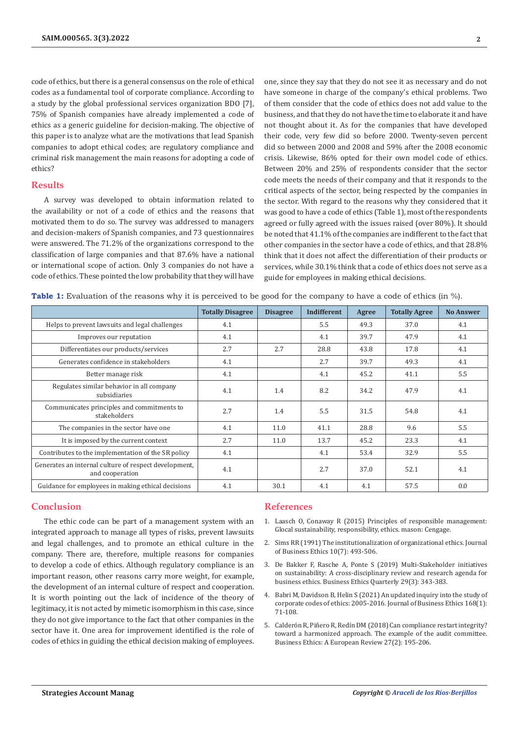code of ethics, but there is a general consensus on the role of ethical codes as a fundamental tool of corporate compliance. According to a study by the global professional services organization BDO [7], 75% of Spanish companies have already implemented a code of ethics as a generic guideline for decision-making. The objective of this paper is to analyze what are the motivations that lead Spanish companies to adopt ethical codes; are regulatory compliance and criminal risk management the main reasons for adopting a code of ethics?

## **Results**

A survey was developed to obtain information related to the availability or not of a code of ethics and the reasons that motivated them to do so. The survey was addressed to managers and decision-makers of Spanish companies, and 73 questionnaires were answered. The 71.2% of the organizations correspond to the classification of large companies and that 87.6% have a national or international scope of action. Only 3 companies do not have a code of ethics. These pointed the low probability that they will have one, since they say that they do not see it as necessary and do not have someone in charge of the company's ethical problems. Two of them consider that the code of ethics does not add value to the business, and that they do not have the time to elaborate it and have not thought about it. As for the companies that have developed their code, very few did so before 2000. Twenty-seven percent did so between 2000 and 2008 and 59% after the 2008 economic crisis. Likewise, 86% opted for their own model code of ethics. Between 20% and 25% of respondents consider that the sector code meets the needs of their company and that it responds to the critical aspects of the sector, being respected by the companies in the sector. With regard to the reasons why they considered that it was good to have a code of ethics (Table 1), most of the respondents agreed or fully agreed with the issues raised (over 80%). It should be noted that 41.1% of the companies are indifferent to the fact that other companies in the sector have a code of ethics, and that 28.8% think that it does not affect the differentiation of their products or services, while 30.1% think that a code of ethics does not serve as a guide for employees in making ethical decisions.

**Table 1:** Evaluation of the reasons why it is perceived to be good for the company to have a code of ethics (in %).

|                                                                          | <b>Totally Disagree</b> | <b>Disagree</b> | Indifferent | Agree | <b>Totally Agree</b> | <b>No Answer</b> |
|--------------------------------------------------------------------------|-------------------------|-----------------|-------------|-------|----------------------|------------------|
| Helps to prevent lawsuits and legal challenges                           | 4.1                     |                 | 5.5         | 49.3  | 37.0                 | 4.1              |
| Improves our reputation                                                  | 4.1                     |                 | 4.1         | 39.7  | 47.9                 | 4.1              |
| Differentiates our products/services                                     | 2.7                     | 2.7             | 28.8        | 43.8  | 17.8                 | 4.1              |
| Generates confidence in stakeholders                                     | 4.1                     |                 | 2.7         | 39.7  | 49.3                 | 4.1              |
| Better manage risk                                                       | 4.1                     |                 | 4.1         | 45.2  | 41.1                 | 5.5              |
| Regulates similar behavior in all company<br>subsidiaries                | 4.1                     | 1.4             | 8.2         | 34.2  | 47.9                 | 4.1              |
| Communicates principles and commitments to<br>stakeholders               | 2.7                     | 1.4             | 5.5         | 31.5  | 54.8                 | 4.1              |
| The companies in the sector have one                                     | 4.1                     | 11.0            | 41.1        | 28.8  | 9.6                  | 5.5              |
| It is imposed by the current context                                     | 2.7                     | 11.0            | 13.7        | 45.2  | 23.3                 | 4.1              |
| Contributes to the implementation of the SR policy                       | 4.1                     |                 | 4.1         | 53.4  | 32.9                 | 5.5              |
| Generates an internal culture of respect development.<br>and cooperation | 4.1                     |                 | 2.7         | 37.0  | 52.1                 | 4.1              |
| Guidance for employees in making ethical decisions                       | 4.1                     | 30.1            | 4.1         | 4.1   | 57.5                 | 0.0              |

## **Conclusion**

The ethic code can be part of a management system with an integrated approach to manage all types of risks, prevent lawsuits and legal challenges, and to promote an ethical culture in the company. There are, therefore, multiple reasons for companies to develop a code of ethics. Although regulatory compliance is an important reason, other reasons carry more weight, for example, the development of an internal culture of respect and cooperation. It is worth pointing out the lack of incidence of the theory of legitimacy, it is not acted by mimetic isomorphism in this case, since they do not give importance to the fact that other companies in the sector have it. One area for improvement identified is the role of codes of ethics in guiding the ethical decision making of employees.

#### **References**

- 1. Laasch O, Conaway R (2015) Principles of responsible management: Glocal sustainability, responsibility, ethics. mason: Cengage.
- 2. [Sims RR \(1991\) The institutionalization of organizational ethics. Journal](https://www.jstor.org/stable/25072178) [of Business Ethics 10\(7\): 493-506.](https://www.jstor.org/stable/25072178)
- 3. [De Bakker F, Rasche A, Ponte S \(2019\) Multi-Stakeholder initiatives](https://ideas.repec.org/a/cup/buetqu/v29y2019i03p343-383_00.html) [on sustainability: A cross-disciplinary review and research agenda for](https://ideas.repec.org/a/cup/buetqu/v29y2019i03p343-383_00.html) [business ethics. Business Ethics Quarterly 29\(3\): 343-383.](https://ideas.repec.org/a/cup/buetqu/v29y2019i03p343-383_00.html)
- 4. [Babri M, Davidson B, Helin S \(2021\) An updated inquiry into the study of](https://ideas.repec.org/a/kap/jbuset/v168y2021i1d10.1007_s10551-019-04192-x.html) [corporate codes of ethics: 2005-2016. Journal of Business Ethics 168\(1\):](https://ideas.repec.org/a/kap/jbuset/v168y2021i1d10.1007_s10551-019-04192-x.html) [71-108.](https://ideas.repec.org/a/kap/jbuset/v168y2021i1d10.1007_s10551-019-04192-x.html)
- 5. [Calderón R, Piñero R, Redín DM \(2018\) Can compliance restart integrity?](https://onlinelibrary.wiley.com/doi/10.1111/beer.12182) [toward a harmonized approach. The example of the audit committee.](https://onlinelibrary.wiley.com/doi/10.1111/beer.12182) [Business Ethics: A European Review 27\(2\): 195-206.](https://onlinelibrary.wiley.com/doi/10.1111/beer.12182)